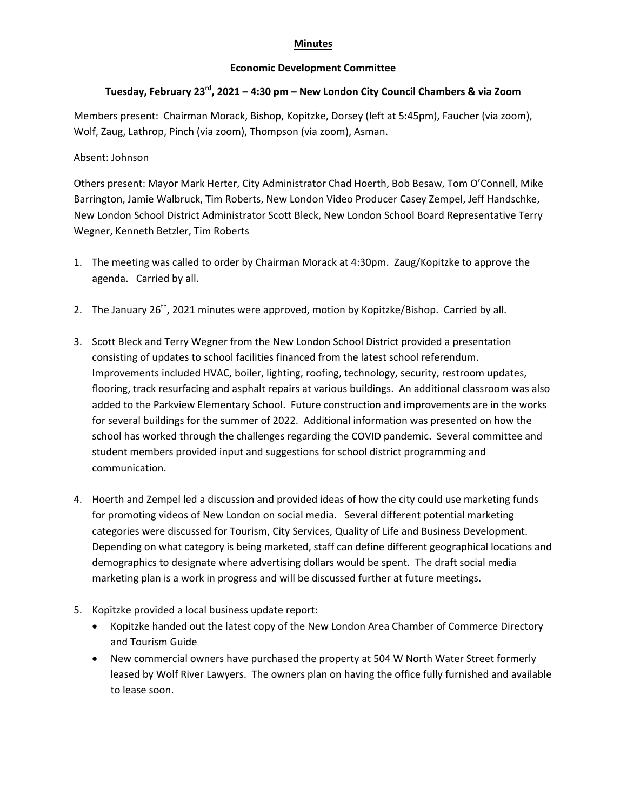## **Minutes**

## **Economic Development Committee**

## **Tuesday, February 23rd, 2021 – 4:30 pm – New London City Council Chambers & via Zoom**

Members present: Chairman Morack, Bishop, Kopitzke, Dorsey (left at 5:45pm), Faucher (via zoom), Wolf, Zaug, Lathrop, Pinch (via zoom), Thompson (via zoom), Asman.

## Absent: Johnson

Others present: Mayor Mark Herter, City Administrator Chad Hoerth, Bob Besaw, Tom O'Connell, Mike Barrington, Jamie Walbruck, Tim Roberts, New London Video Producer Casey Zempel, Jeff Handschke, New London School District Administrator Scott Bleck, New London School Board Representative Terry Wegner, Kenneth Betzler, Tim Roberts

- 1. The meeting was called to order by Chairman Morack at 4:30pm. Zaug/Kopitzke to approve the agenda. Carried by all.
- 2. The January  $26<sup>th</sup>$ , 2021 minutes were approved, motion by Kopitzke/Bishop. Carried by all.
- 3. Scott Bleck and Terry Wegner from the New London School District provided a presentation consisting of updates to school facilities financed from the latest school referendum. Improvements included HVAC, boiler, lighting, roofing, technology, security, restroom updates, flooring, track resurfacing and asphalt repairs at various buildings. An additional classroom was also added to the Parkview Elementary School. Future construction and improvements are in the works for several buildings for the summer of 2022. Additional information was presented on how the school has worked through the challenges regarding the COVID pandemic. Several committee and student members provided input and suggestions for school district programming and communication.
- 4. Hoerth and Zempel led a discussion and provided ideas of how the city could use marketing funds for promoting videos of New London on social media. Several different potential marketing categories were discussed for Tourism, City Services, Quality of Life and Business Development. Depending on what category is being marketed, staff can define different geographical locations and demographics to designate where advertising dollars would be spent. The draft social media marketing plan is a work in progress and will be discussed further at future meetings.
- 5. Kopitzke provided a local business update report:
	- Kopitzke handed out the latest copy of the New London Area Chamber of Commerce Directory and Tourism Guide
	- New commercial owners have purchased the property at 504 W North Water Street formerly leased by Wolf River Lawyers. The owners plan on having the office fully furnished and available to lease soon.